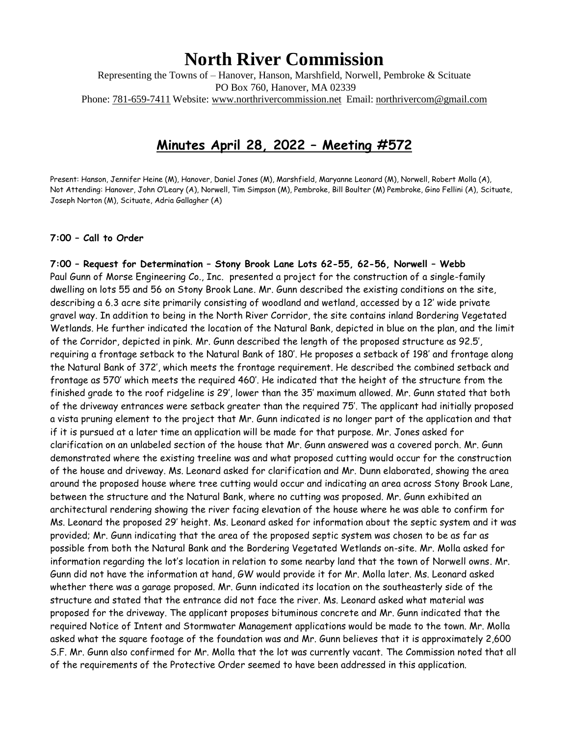# **North River Commission**

Representing the Towns of – Hanover, Hanson, Marshfield, Norwell, Pembroke & Scituate PO Box 760, Hanover, MA 02339 Phone: 781-659-7411 Website: [www.northrivercommission.net](http://www.northrivercommission.net/) Email: [northrivercom@gmail.com](mailto:northrivercom@gmail.com)

## **Minutes April 28, 2022 – Meeting #572**

Present: Hanson, Jennifer Heine (M), Hanover, Daniel Jones (M), Marshfield, Maryanne Leonard (M), Norwell, Robert Molla (A), Not Attending: Hanover, John O'Leary (A), Norwell, Tim Simpson (M), Pembroke, Bill Boulter (M) Pembroke, Gino Fellini (A), Scituate, Joseph Norton (M), Scituate, Adria Gallagher (A)

#### **7:00 – Call to Order**

**7:00 – Request for Determination – Stony Brook Lane Lots 62-55, 62-56, Norwell – Webb** Paul Gunn of Morse Engineering Co., Inc. presented a project for the construction of a single-family dwelling on lots 55 and 56 on Stony Brook Lane. Mr. Gunn described the existing conditions on the site, describing a 6.3 acre site primarily consisting of woodland and wetland, accessed by a 12' wide private gravel way. In addition to being in the North River Corridor, the site contains inland Bordering Vegetated Wetlands. He further indicated the location of the Natural Bank, depicted in blue on the plan, and the limit of the Corridor, depicted in pink. Mr. Gunn described the length of the proposed structure as 92.5', requiring a frontage setback to the Natural Bank of 180'. He proposes a setback of 198' and frontage along the Natural Bank of 372', which meets the frontage requirement. He described the combined setback and frontage as 570' which meets the required 460'. He indicated that the height of the structure from the finished grade to the roof ridgeline is 29', lower than the 35' maximum allowed. Mr. Gunn stated that both of the driveway entrances were setback greater than the required 75'. The applicant had initially proposed a vista pruning element to the project that Mr. Gunn indicated is no longer part of the application and that if it is pursued at a later time an application will be made for that purpose. Mr. Jones asked for clarification on an unlabeled section of the house that Mr. Gunn answered was a covered porch. Mr. Gunn demonstrated where the existing treeline was and what proposed cutting would occur for the construction of the house and driveway. Ms. Leonard asked for clarification and Mr. Dunn elaborated, showing the area around the proposed house where tree cutting would occur and indicating an area across Stony Brook Lane, between the structure and the Natural Bank, where no cutting was proposed. Mr. Gunn exhibited an architectural rendering showing the river facing elevation of the house where he was able to confirm for Ms. Leonard the proposed 29' height. Ms. Leonard asked for information about the septic system and it was provided; Mr. Gunn indicating that the area of the proposed septic system was chosen to be as far as possible from both the Natural Bank and the Bordering Vegetated Wetlands on-site. Mr. Molla asked for information regarding the lot's location in relation to some nearby land that the town of Norwell owns. Mr. Gunn did not have the information at hand, GW would provide it for Mr. Molla later. Ms. Leonard asked whether there was a garage proposed. Mr. Gunn indicated its location on the southeasterly side of the structure and stated that the entrance did not face the river. Ms. Leonard asked what material was proposed for the driveway. The applicant proposes bituminous concrete and Mr. Gunn indicated that the required Notice of Intent and Stormwater Management applications would be made to the town. Mr. Molla asked what the square footage of the foundation was and Mr. Gunn believes that it is approximately 2,600 S.F. Mr. Gunn also confirmed for Mr. Molla that the lot was currently vacant. The Commission noted that all of the requirements of the Protective Order seemed to have been addressed in this application.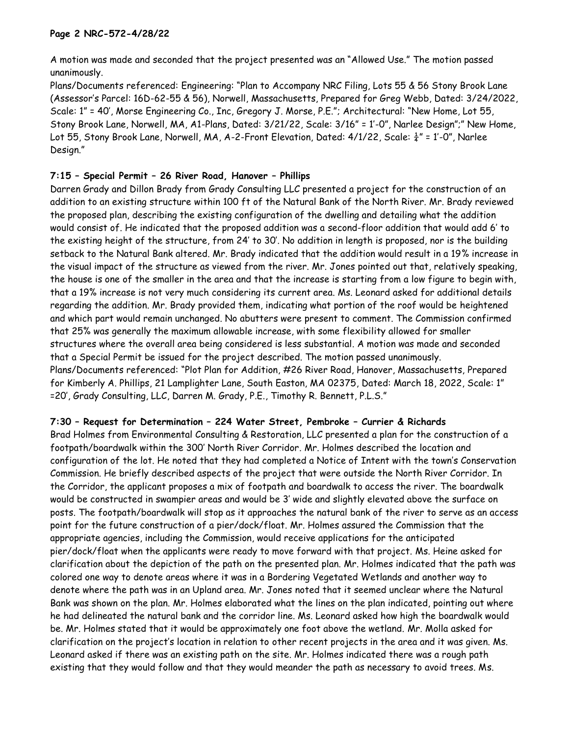#### **Page 2 NRC-572-4/28/22**

A motion was made and seconded that the project presented was an "Allowed Use." The motion passed unanimously.

Plans/Documents referenced: Engineering: "Plan to Accompany NRC Filing, Lots 55 & 56 Stony Brook Lane (Assessor's Parcel: 16D-62-55 & 56), Norwell, Massachusetts, Prepared for Greg Webb, Dated: 3/24/2022, Scale: 1" = 40', Morse Engineering Co., Inc, Gregory J. Morse, P.E."; Architectural: "New Home, Lot 55, Stony Brook Lane, Norwell, MA, A1-Plans, Dated: 3/21/22, Scale: 3/16" = 1'-0", Narlee Design";" New Home, Lot 55, Stony Brook Lane, Norwell, MA, A-2-Front Elevation, Dated:  $4/1/22$ , Scale:  $\frac{1}{4}$ " = 1'-0", Narlee Design."

### **7:15 – Special Permit – 26 River Road, Hanover – Phillips**

Darren Grady and Dillon Brady from Grady Consulting LLC presented a project for the construction of an addition to an existing structure within 100 ft of the Natural Bank of the North River. Mr. Brady reviewed the proposed plan, describing the existing configuration of the dwelling and detailing what the addition would consist of. He indicated that the proposed addition was a second-floor addition that would add 6' to the existing height of the structure, from 24' to 30'. No addition in length is proposed, nor is the building setback to the Natural Bank altered. Mr. Brady indicated that the addition would result in a 19% increase in the visual impact of the structure as viewed from the river. Mr. Jones pointed out that, relatively speaking, the house is one of the smaller in the area and that the increase is starting from a low figure to begin with, that a 19% increase is not very much considering its current area. Ms. Leonard asked for additional details regarding the addition. Mr. Brady provided them, indicating what portion of the roof would be heightened and which part would remain unchanged. No abutters were present to comment. The Commission confirmed that 25% was generally the maximum allowable increase, with some flexibility allowed for smaller structures where the overall area being considered is less substantial. A motion was made and seconded that a Special Permit be issued for the project described. The motion passed unanimously. Plans/Documents referenced: "Plot Plan for Addition, #26 River Road, Hanover, Massachusetts, Prepared for Kimberly A. Phillips, 21 Lamplighter Lane, South Easton, MA 02375, Dated: March 18, 2022, Scale: 1" =20', Grady Consulting, LLC, Darren M. Grady, P.E., Timothy R. Bennett, P.L.S."

### **7:30 – Request for Determination – 224 Water Street, Pembroke – Currier & Richards**

Brad Holmes from Environmental Consulting & Restoration, LLC presented a plan for the construction of a footpath/boardwalk within the 300' North River Corridor. Mr. Holmes described the location and configuration of the lot. He noted that they had completed a Notice of Intent with the town's Conservation Commission. He briefly described aspects of the project that were outside the North River Corridor. In the Corridor, the applicant proposes a mix of footpath and boardwalk to access the river. The boardwalk would be constructed in swampier areas and would be 3' wide and slightly elevated above the surface on posts. The footpath/boardwalk will stop as it approaches the natural bank of the river to serve as an access point for the future construction of a pier/dock/float. Mr. Holmes assured the Commission that the appropriate agencies, including the Commission, would receive applications for the anticipated pier/dock/float when the applicants were ready to move forward with that project. Ms. Heine asked for clarification about the depiction of the path on the presented plan. Mr. Holmes indicated that the path was colored one way to denote areas where it was in a Bordering Vegetated Wetlands and another way to denote where the path was in an Upland area. Mr. Jones noted that it seemed unclear where the Natural Bank was shown on the plan. Mr. Holmes elaborated what the lines on the plan indicated, pointing out where he had delineated the natural bank and the corridor line. Ms. Leonard asked how high the boardwalk would be. Mr. Holmes stated that it would be approximately one foot above the wetland. Mr. Molla asked for clarification on the project's location in relation to other recent projects in the area and it was given. Ms. Leonard asked if there was an existing path on the site. Mr. Holmes indicated there was a rough path existing that they would follow and that they would meander the path as necessary to avoid trees. Ms.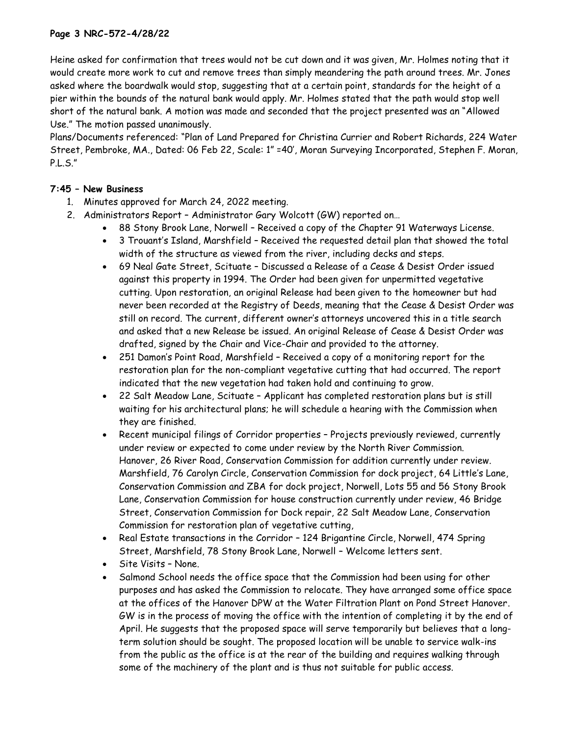### **Page 3 NRC-572-4/28/22**

Heine asked for confirmation that trees would not be cut down and it was given, Mr. Holmes noting that it would create more work to cut and remove trees than simply meandering the path around trees. Mr. Jones asked where the boardwalk would stop, suggesting that at a certain point, standards for the height of a pier within the bounds of the natural bank would apply. Mr. Holmes stated that the path would stop well short of the natural bank. A motion was made and seconded that the project presented was an "Allowed Use." The motion passed unanimously.

Plans/Documents referenced: "Plan of Land Prepared for Christina Currier and Robert Richards, 224 Water Street, Pembroke, MA., Dated: 06 Feb 22, Scale: 1" =40', Moran Surveying Incorporated, Stephen F. Moran, P.L.S."

#### **7:45 – New Business**

- 1. Minutes approved for March 24, 2022 meeting.
- 2. Administrators Report Administrator Gary Wolcott (GW) reported on…
	- 88 Stony Brook Lane, Norwell Received a copy of the Chapter 91 Waterways License.
	- 3 Trouant's Island, Marshfield Received the requested detail plan that showed the total width of the structure as viewed from the river, including decks and steps.
	- 69 Neal Gate Street, Scituate Discussed a Release of a Cease & Desist Order issued against this property in 1994. The Order had been given for unpermitted vegetative cutting. Upon restoration, an original Release had been given to the homeowner but had never been recorded at the Registry of Deeds, meaning that the Cease & Desist Order was still on record. The current, different owner's attorneys uncovered this in a title search and asked that a new Release be issued. An original Release of Cease & Desist Order was drafted, signed by the Chair and Vice-Chair and provided to the attorney.
	- 251 Damon's Point Road, Marshfield Received a copy of a monitoring report for the restoration plan for the non-compliant vegetative cutting that had occurred. The report indicated that the new vegetation had taken hold and continuing to grow.
	- 22 Salt Meadow Lane, Scituate Applicant has completed restoration plans but is still waiting for his architectural plans; he will schedule a hearing with the Commission when they are finished.
	- Recent municipal filings of Corridor properties Projects previously reviewed, currently under review or expected to come under review by the North River Commission. Hanover, 26 River Road, Conservation Commission for addition currently under review. Marshfield, 76 Carolyn Circle, Conservation Commission for dock project, 64 Little's Lane, Conservation Commission and ZBA for dock project, Norwell, Lots 55 and 56 Stony Brook Lane, Conservation Commission for house construction currently under review, 46 Bridge Street, Conservation Commission for Dock repair, 22 Salt Meadow Lane, Conservation Commission for restoration plan of vegetative cutting,
	- Real Estate transactions in the Corridor 124 Brigantine Circle, Norwell, 474 Spring Street, Marshfield, 78 Stony Brook Lane, Norwell – Welcome letters sent.
	- Site Visits None.
	- Salmond School needs the office space that the Commission had been using for other purposes and has asked the Commission to relocate. They have arranged some office space at the offices of the Hanover DPW at the Water Filtration Plant on Pond Street Hanover. GW is in the process of moving the office with the intention of completing it by the end of April. He suggests that the proposed space will serve temporarily but believes that a longterm solution should be sought. The proposed location will be unable to service walk-ins from the public as the office is at the rear of the building and requires walking through some of the machinery of the plant and is thus not suitable for public access.